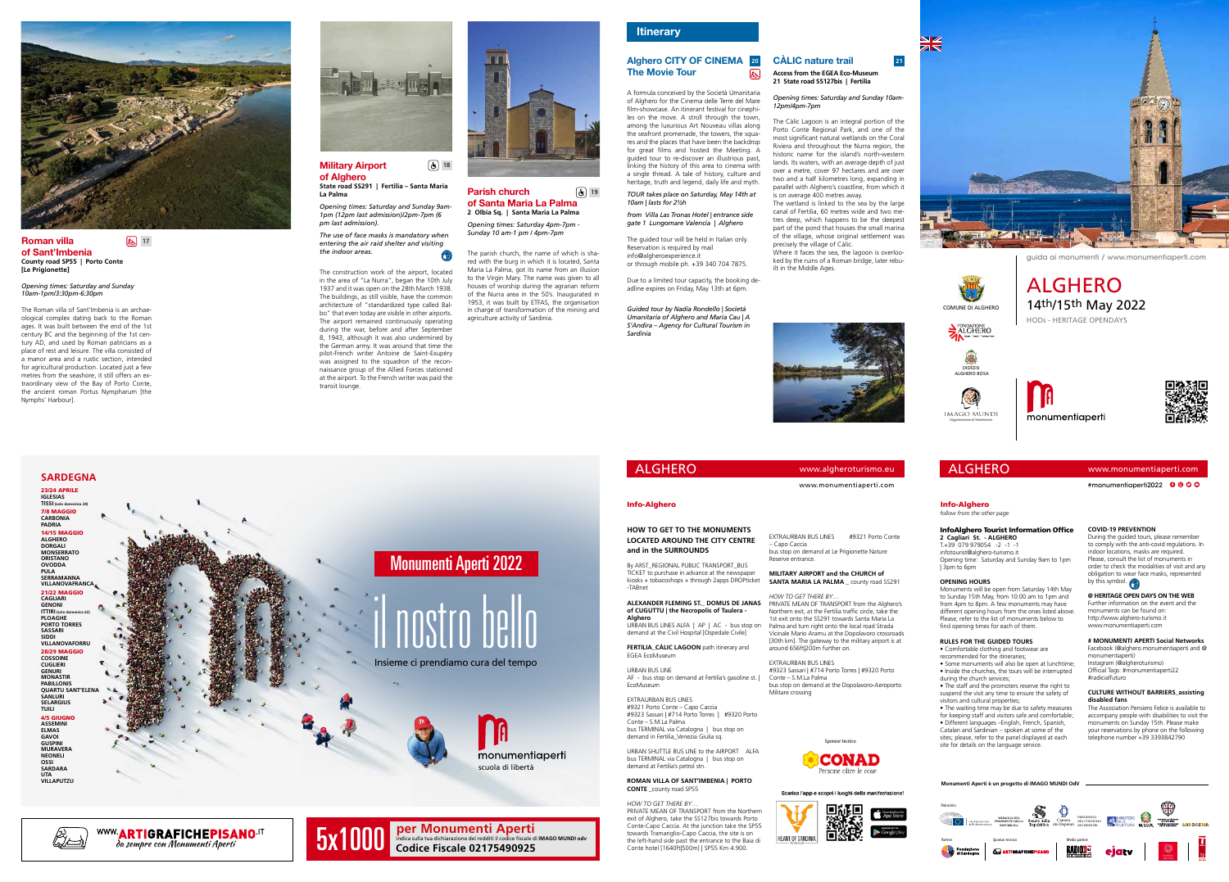## ALGHERO

**Monumenti Aperti è un progetto di IMAGO MUNDI OdV**



**HOW TO GET TO THE MONUMENTS LOCATED AROUND THE CITY CENTRE and in the SURROUNDS**

By ARST\_REGIONAL PUBLIC TRANSPORT\_BUS TICKET to purchase in advance at the newspaper kiosks + tobacoshops + through 2apps DROPticket -TABnet

URBAN SHUTTLE BUS LINE to the AIRPORT ALFA bus TERMINAL via Catalogna | bus stop on demand at Fertilia's petrol stn.

**ALEXANDER FLEMING ST.\_ DOMUS DE JANAS of CUGUTTU | the Necropolis of Taulera - Alghero** URBAN BUS LINES ALFA | AP | AC - bus stop on demand at the Civil Hospital [Ospedale Civile]

**FERTILIA\_CÀLIC LAGOON** path itinerary and EGEA EcoMuseum

URBAN BUS LINE AF - bus stop on demand at Fertilia's gasoline st. | EcoMuseum

EXTRAURBAN BUS LINES #9321 Porto Conte – Capo Caccia #9323 Sassari | #714 Porto Torres | #9320 Porto Conte – S.M.La Palma bus TERMINAL via Catalogna | bus stop on demand in Fertilia\_Venezia Giulia sq.

## **ROMAN VILLA OF SANT'IMBENIA | PORTO CONTE** \_county road SP55

*HOW TO GET THERE BY…* PRIVATE MEAN OF TRANSPORT from the Northern exit of Alghero, take the SS127bis towards Porto Conte-Capo Caccia. At the junction take the SP55 towards Tramariglio-Capo Caccia, the site is on the left-hand side past the entrance to the Baia di Conte hotel [1640ft|500m] | SP55 Km 4.900.

www.monumentiaperti.com

EXTRAURBAN BUS LINES #9321 Porto Conte

– Capo Caccia

bus stop on demand at Le Prigionette Nature

Reserve entrance.

**MILITARY AIRPORT and the CHURCH of SANTA MARIA LA PALMA** \_ county road SS291 *HOW TO GET THERE BY…*

PRIVATE MEAN OF TRANSPORT from the Alghero's

Northern exit, at the Fertilia traffic circle, take the 1st exit onto the SS291 towards Santa Maria La Palma and turn right onto the local road Strada Vicinale Mario Aramu at the Dopolavoro crossroads

[30th km]. The gateway to the military airport is at around 656ft|200m further on.

EXTRAURBAN BUS LINES

#9323 Sassari | #714 Porto Torres | #9320 Porto

Conte – S.M.La Palma

bus stop on demand at the Dopolavoro-Aeroporto

da sempre con Monumenti Aperti **Per Monumenti Aperti**<br>da sempre con Monumenti Aperti<br>**da sempre con Monumenti Aperti** 

Militare crossing



## Info-Alghero

## www.monumentiaperti.com

#monumentiaperti2022 **0000** 

#### InfoAlghero Tourist Information Office **2 Cagliari St. - ALGHERO**

T.+39 079 979054 -2 -1 -1 infotourist@alghero-turismo.it Opening time: Saturday and Sunday 9am to 1pm | 3pm to 6pm

## **OPENING HOURS**

#### Military Airport of Alghero  $\left[\overline{\mathbf{G}}\right]$  18

Monuments will be open from Saturday 14th May to Sunday 15th May, from 10:00 am to 1pm and from 4pm to 8pm. A few monuments may have different opening hours from the ones listed above. Please, refer to the list of monuments below to find opening times for each of them.

## **RULES FOR THE GUIDED TOURS**

• Comfortable clothing and footwear are recommended for the itineraries;

• Some monuments will also be open at lunchtime; • Inside the churches, the tours will be interrupted during the church services;

• The staff and the promoters reserve the right to suspend the visit any time to ensure the safety of



#### Roman villa of Sant'Imbenia **County road SP55 | Porto Conte [Le Prigionette]**  $k$ <sub>5</sub> 17

visitors and cultural properties; • The waiting time may be due to safety measures for keeping staff and visitors safe and comfortable; • Different languages –English, French, Spanish, Catalan and Sardinian – spoken at some of the sites; please, refer to the panel displayed at each



#### Parish church of Santa Maria La Palma **2 Olbia Sq. | Santa Maria La Palma**  $\boxed{\mathbf{c}}$  19

**COVID-19 PREVENTION**



## Alghero CITY OF CINEMA The Movie Tour  $\overline{K}$

**@ HERITAGE OPEN DAYS ON THE WEB**

Further information on the event and the monuments can be found on: http://www.alghero-turismo.it www.monumentiaperti.com

## **# MONUMENTI APERTI Social Networks** Facebook (@alghero.monumentiaperti and @ monumentiaperti)

Instagram (@algheroturismo) Official Tags: #monumentiaperti22 #radicialfuturo

#### **CULTURE WITHOUT BARRIERS\_assisting disabled fans**

The Association Pensiero Felice is available to accompany people with disabilities to visit the monuments on Sunday 15th. Please make your reservations by phone on the following telephone number +39 3393842790









AGA



## *follow from the other page* Info-Alghero

www.algheroturismo.eu

Sponsor tecnico







**State road SS291 | Fertilia – Santa Maria La Palma**

*Opening times: Saturday and Sunday 9am-1pm (12pm last admission)/2pm-7pm (6 pm last admission).*

*The use of face masks is mandatory when entering the air raid shelter and visiting the indoor areas.*

The construction work of the airport, located in the area of "La Nurra", began the 10th July 1937 and it was open on the 28th March 1938. The buildings, as still visible, have the common architecture of "standardized type called Balbo" that even today are visible in other airports. The airport remained continuously operating during the war, before and after September 8, 1943, although it was also undermined by the German army. It was around that time the pilot-French writer Antoine de Saint-Exupéry was assigned to the squadron of the reconnaissance group of the Allied Forces stationed at the airport. To the French writer was paid the transit lounge.



*Opening times: Saturday and Sunday 10am-1pm/3:30pm-6:30pm*

The Roman villa of Sant'Imbenia is an archaeological complex dating back to the Roman ages. It was built between the end of the 1st century BC and the beginning of the 1st century AD, and used by Roman patricians as a place of rest and leisure. The villa consisted of a manor area and a rustic section, intended for agricultural production. Located just a few metres from the seashore, it still offers an extraordinary view of the Bay of Porto Conte, the ancient roman Portus Nympharum [the Nymphs' Harbour].



*Opening times: Saturday 4pm-7pm - Sunday 10 am-1 pm / 4pm-7pm*

The parish church, the name of which is shared with the burg in which it is located, Santa Maria La Palma, got its name from an illusion to the Virgin Mary. The name was given to all houses of worship during the agrarian reform of the Nurra area in the 50's. Inaugurated in 1953, it was built by ETFAS, the organisation in charge of transformation of the mining and agriculture activity of Sardinia.

## **Itinerary**

A formula conceived by the Società Umanitaria of Alghero for the Cinema delle Terre del Mare film-showcase. An itinerant festival for cinephiles on the move. A stroll through the town, among the luxurious Art Nouveau villas along the seafront promenade, the towers, the squares and the places that have been the backdrop for great films and hosted the Meeting. A guided tour to re-discover an illustrious past, linking the history of this area to cinema with a single thread. A tale of history, culture and heritage, truth and legend, daily life and myth.

*TOUR takes place on Saturday, May 14th at 10am | lasts for 2½h from Villa Las Tronas Hotel | entrance side* 

*gate 1 Lungomare Valencia | Alghero*

The guided tour will be held in Italian only. Reservation is required by mail info@algheroexperience.it

or through mobile ph. +39 340 704 7875.

Due to a limited tour capacity, the booking deadline expires on Friday, May 13th at 6pm.

*Guided tour by Nadia Rondello | Società Umanitaria of Alghero and Maria Cau | A S'Andira – Agency for Cultural Tourism in* 

*Sardinia*

## **ALGHERO**

**Access from the EGEA Eco-Museum 21 State road SS127bis | Fertilia**

## *Opening times: Saturday and Sunday 10am-12pm/4pm-7pm*

The Càlic Lagoon is an integral portion of the Porto Conte Regional Park, and one of the most significant natural wetlands on the Coral Riviera and throughout the Nurra region, the historic name for the island's north-western lands. Its waters, with an average depth of just over a metre, cover 97 hectares and are over two and a half kilometres long, expanding in parallel with Alghero's coastline, from which it is on average 400 metres away.

## CÀLIC nature trail **20 21**

The wetland is linked to the sea by the large canal of Fertilia, 60 metres wide and two metres deep, which happens to be the deepest part of the pond that houses the small marina of the village, whose original settlement was precisely the village of Càlic.

Where it faces the sea, the lagoon is overlooked by the ruins of a Roman bridge, later rebuilt in the Middle Ages.





guida ai monumenti / www.monumentiaperti.com

14th/15th May 2022 HODs - HERITAGE OPENDAYS ALGHERO



COMUNE DI ALGHERO

FONDAZIONE<br>ALGHERO